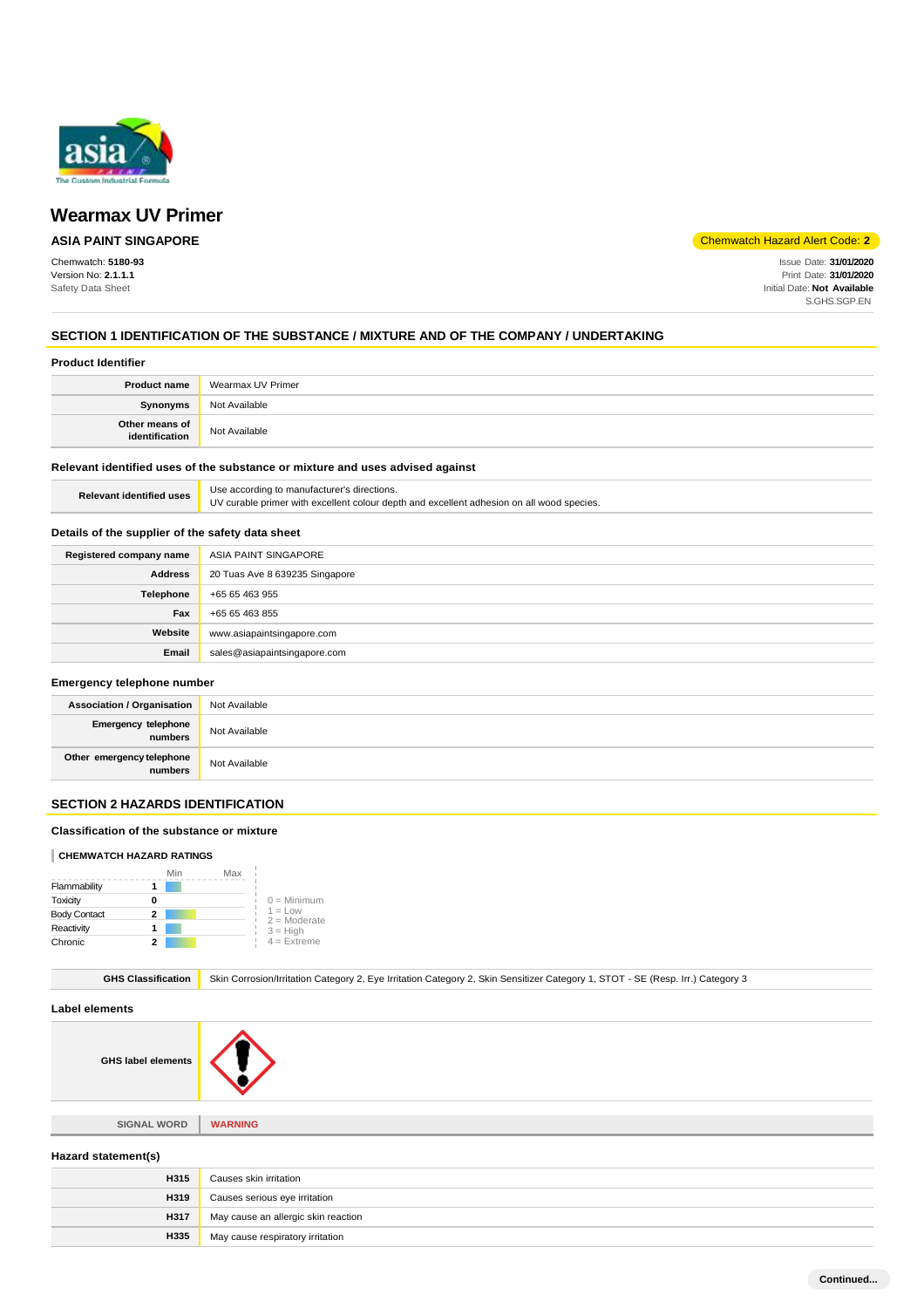

## **ASIA PAINT SINGAPORE**

Chemwatch: **5180-93** Version No: **2.1.1.1** Safety Data Sheet

Chemwatch Hazard Alert Code: **2**

Issue Date: **31/01/2020** Print Date: **31/01/2020** Initial Date: **Not Available** S.GHS.SGP.EN

## **SECTION 1 IDENTIFICATION OF THE SUBSTANCE / MIXTURE AND OF THE COMPANY / UNDERTAKING**

#### **Product Identifier**

| <b>Product name</b>              | Wearmax UV Primer |
|----------------------------------|-------------------|
| <b>Synonyms</b>                  | Not Available     |
| Other means of<br>identification | Not Available     |

## **Relevant identified uses of the substance or mixture and uses advised against**

| <b>Relevant identified uses</b> | Use according to manufacturer's directions.                                               |
|---------------------------------|-------------------------------------------------------------------------------------------|
|                                 | UV curable primer with excellent colour depth and excellent adhesion on all wood species. |

## **Details of the supplier of the safety data sheet**

| Registered company name | ASIA PAINT SINGAPORE           |
|-------------------------|--------------------------------|
| <b>Address</b>          | 20 Tuas Ave 8 639235 Singapore |
| Telephone               | +65 65 463 955                 |
| Fax                     | +65 65 463 855                 |
| Website                 | www.asiapaintsingapore.com     |
| Email                   | sales@asiapaintsingapore.com   |

#### **Emergency telephone number**

| <b>Association / Organisation</b>            | Not Available |
|----------------------------------------------|---------------|
| <b>Emergency telephone</b><br><b>numbers</b> | Not Available |
| Other emergency telephone<br>numbers         | Not Available |

## **SECTION 2 HAZARDS IDENTIFICATION**

#### **Classification of the substance or mixture**

#### **CHEMWATCH HAZARD RATINGS**

|                     |   | Min | Max |                             |
|---------------------|---|-----|-----|-----------------------------|
| Flammability        |   |     |     |                             |
| Toxicity            | o |     |     | $0 =$ Minimum               |
| <b>Body Contact</b> | 2 |     |     | $1 = Low$<br>$2 =$ Moderate |
| Reactivity          |   |     |     | $3 = High$                  |
| Chronic             |   |     |     | $4 =$ Extreme               |

GHS Classification Skin Corrosion/Irritation Category 2, Eye Irritation Category 2, Skin Sensitizer Category 1, STOT - SE (Resp. Irr.) Category 3

## **Label elements**

**GHS label elements**

**SIGNAL WORD WARNING**

## **Hazard statement(s)**

| H315        | Causes skin irritation              |
|-------------|-------------------------------------|
| H319        | Causes serious eye irritation       |
| <b>H317</b> | May cause an allergic skin reaction |
| H335        | May cause respiratory irritation    |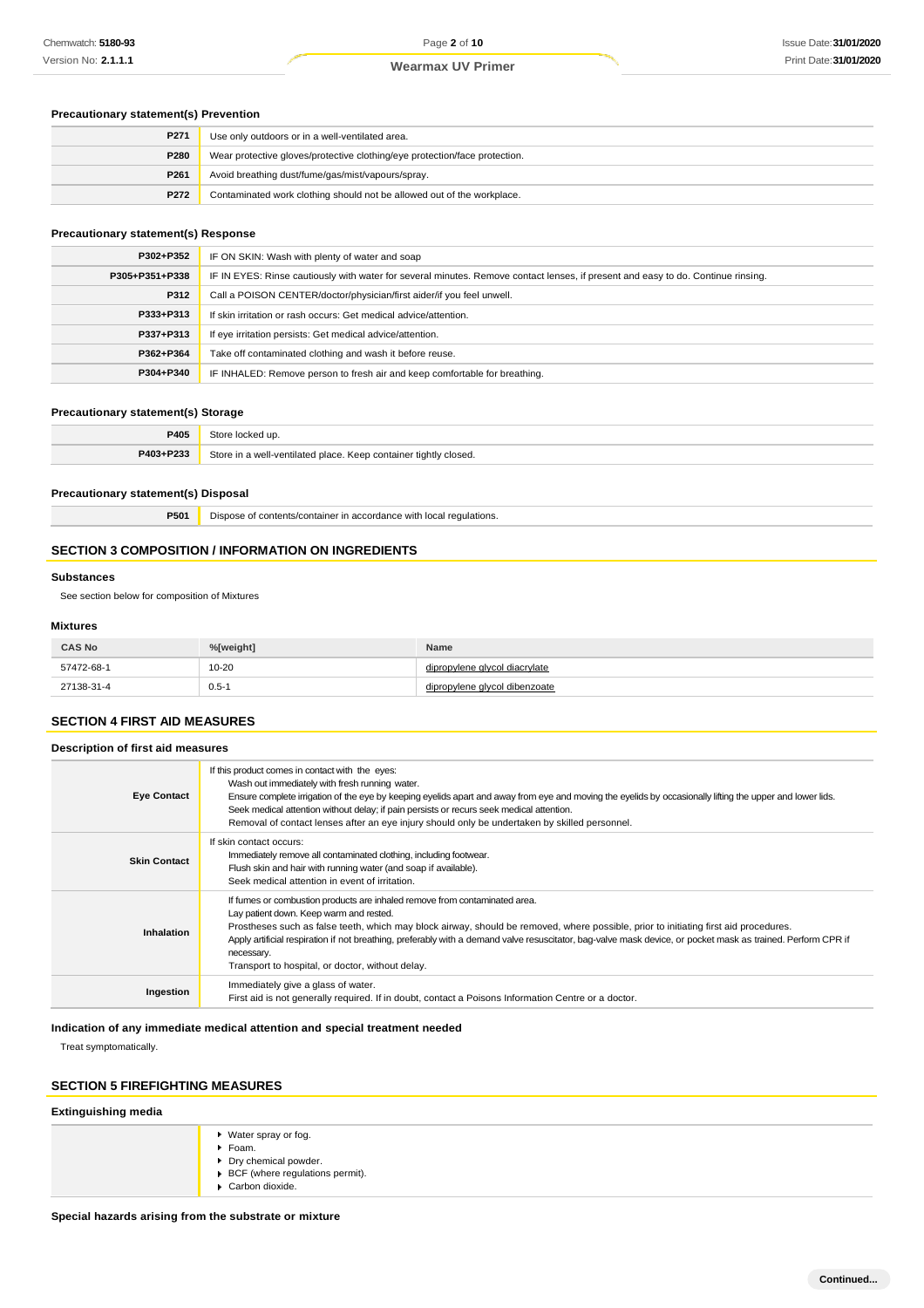## **Precautionary statement(s) Prevention**

| P271 | Use only outdoors or in a well-ventilated area.                            |
|------|----------------------------------------------------------------------------|
| P280 | Wear protective gloves/protective clothing/eye protection/face protection. |
| P261 | Avoid breathing dust/fume/gas/mist/vapours/spray.                          |
| P272 | Contaminated work clothing should not be allowed out of the workplace.     |

## **Precautionary statement(s) Response**

| P302+P352      | IF ON SKIN: Wash with plenty of water and soap                                                                                   |  |
|----------------|----------------------------------------------------------------------------------------------------------------------------------|--|
| P305+P351+P338 | IF IN EYES: Rinse cautiously with water for several minutes. Remove contact lenses, if present and easy to do. Continue rinsing. |  |
| P312           | Call a POISON CENTER/doctor/physician/first aider/if you feel unwell.                                                            |  |
| P333+P313      | If skin irritation or rash occurs: Get medical advice/attention.                                                                 |  |
| P337+P313      | If eye irritation persists: Get medical advice/attention.                                                                        |  |
| P362+P364      | Take off contaminated clothing and wash it before reuse.                                                                         |  |
| P304+P340      | IF INHALED: Remove person to fresh air and keep comfortable for breathing.                                                       |  |

## **Precautionary statement(s) Storage**

| P405      | Store<br>≅locked up.                                             |
|-----------|------------------------------------------------------------------|
| P403+P233 | Store in a well-ventilated place. Keep container tightly closed. |

#### **Precautionary statement(s) Disposal**

**P501** Dispose of contents/container in accordance with local regulations.

## **SECTION 3 COMPOSITION / INFORMATION ON INGREDIENTS**

#### **Substances**

See section below for composition of Mixtures

## **Mixtures**

| <b>CAS No</b> | %[weight] | Name                     |
|---------------|-----------|--------------------------|
| 57472-68-1    | $10 - 20$ | pylene givcol diacrylate |
| 27138-31-4    | $0.5 - 1$ | pvlene alvcol dibenzoate |

## **SECTION 4 FIRST AID MEASURES**

| Description of first aid measures |                                                                                                                                                                                                                                                                                                                                                                                                                                                                                                 |
|-----------------------------------|-------------------------------------------------------------------------------------------------------------------------------------------------------------------------------------------------------------------------------------------------------------------------------------------------------------------------------------------------------------------------------------------------------------------------------------------------------------------------------------------------|
| <b>Eye Contact</b>                | If this product comes in contact with the eyes:<br>Wash out immediately with fresh running water.<br>Ensure complete irrigation of the eye by keeping eyelids apart and away from eye and moving the eyelids by occasionally lifting the upper and lower lids.<br>Seek medical attention without delay; if pain persists or recurs seek medical attention.<br>Removal of contact lenses after an eye injury should only be undertaken by skilled personnel.                                     |
| <b>Skin Contact</b>               | If skin contact occurs:<br>Immediately remove all contaminated clothing, including footwear.<br>Flush skin and hair with running water (and soap if available).<br>Seek medical attention in event of irritation.                                                                                                                                                                                                                                                                               |
| Inhalation                        | If fumes or combustion products are inhaled remove from contaminated area.<br>Lay patient down. Keep warm and rested.<br>Prostheses such as false teeth, which may block airway, should be removed, where possible, prior to initiating first aid procedures.<br>Apply artificial respiration if not breathing, preferably with a demand valve resuscitator, bag-valve mask device, or pocket mask as trained. Perform CPR if<br>necessary.<br>Transport to hospital, or doctor, without delay. |
| Ingestion                         | Immediately give a glass of water.<br>First aid is not generally required. If in doubt, contact a Poisons Information Centre or a doctor.                                                                                                                                                                                                                                                                                                                                                       |

## **Indication of any immediate medical attention and special treatment needed**

Treat symptomatically.

## **SECTION 5 FIREFIGHTING MEASURES**

## **Extinguishing media**

| ▶ Water spray or fog.<br>Foam.<br>▶ Dry chemical powder.<br>▶ BCF (where regulations permit).<br>$\blacktriangleright$ Carbon dioxide. |
|----------------------------------------------------------------------------------------------------------------------------------------|
|----------------------------------------------------------------------------------------------------------------------------------------|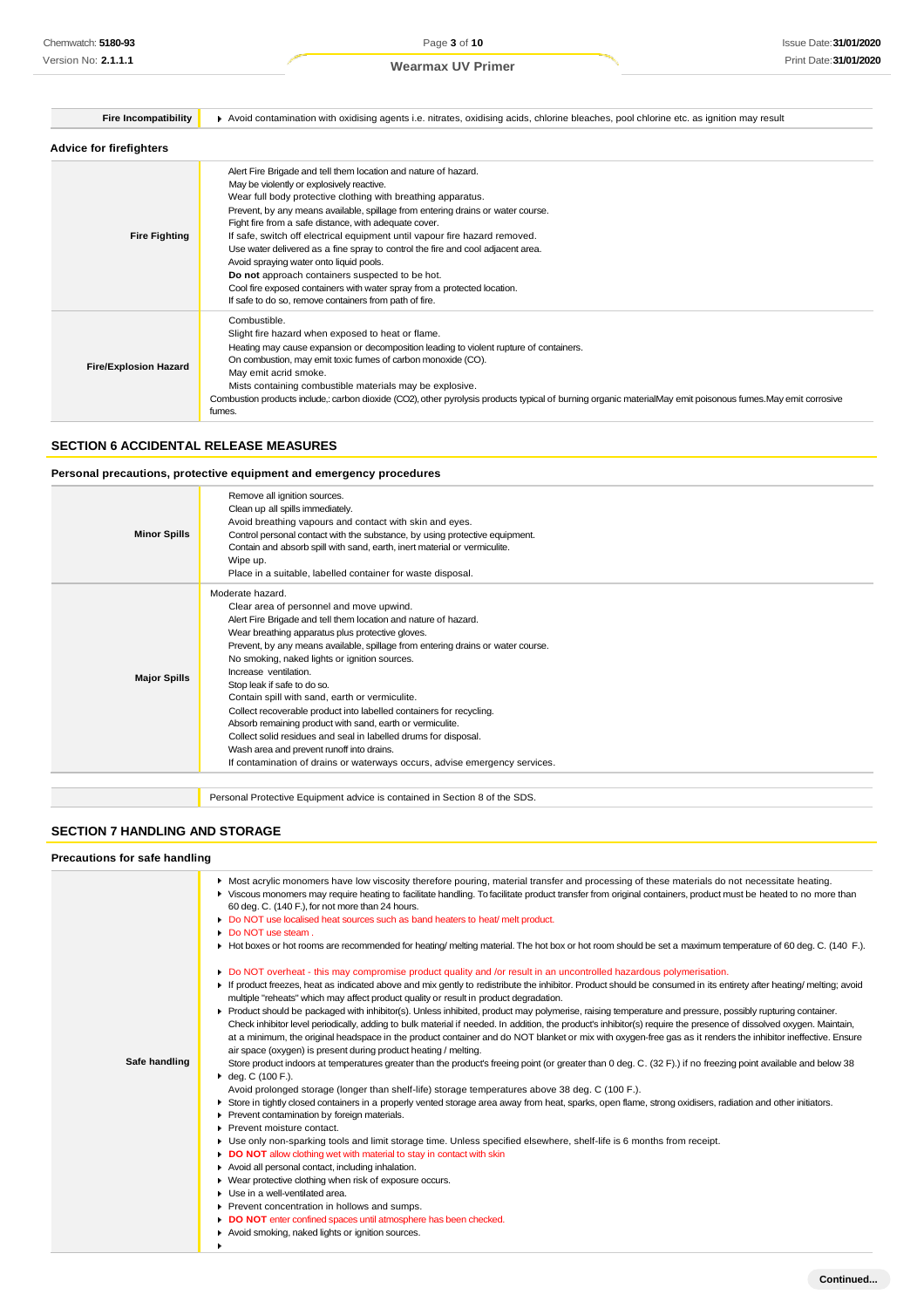| <b>Fire Incompatibility</b>    | Avoid contamination with oxidising agents i.e. nitrates, oxidising acids, chlorine bleaches, pool chlorine etc. as ignition may result                                                                                                                                                                                                                                                                                                                                                                                                                                                                                                                                                                                        |
|--------------------------------|-------------------------------------------------------------------------------------------------------------------------------------------------------------------------------------------------------------------------------------------------------------------------------------------------------------------------------------------------------------------------------------------------------------------------------------------------------------------------------------------------------------------------------------------------------------------------------------------------------------------------------------------------------------------------------------------------------------------------------|
| <b>Advice for firefighters</b> |                                                                                                                                                                                                                                                                                                                                                                                                                                                                                                                                                                                                                                                                                                                               |
| <b>Fire Fighting</b>           | Alert Fire Brigade and tell them location and nature of hazard.<br>May be violently or explosively reactive.<br>Wear full body protective clothing with breathing apparatus.<br>Prevent, by any means available, spillage from entering drains or water course.<br>Fight fire from a safe distance, with adequate cover.<br>If safe, switch off electrical equipment until vapour fire hazard removed.<br>Use water delivered as a fine spray to control the fire and cool adjacent area.<br>Avoid spraying water onto liquid pools.<br>Do not approach containers suspected to be hot.<br>Cool fire exposed containers with water spray from a protected location.<br>If safe to do so, remove containers from path of fire. |
| <b>Fire/Explosion Hazard</b>   | Combustible.<br>Slight fire hazard when exposed to heat or flame.<br>Heating may cause expansion or decomposition leading to violent rupture of containers.<br>On combustion, may emit toxic fumes of carbon monoxide (CO).<br>May emit acrid smoke.<br>Mists containing combustible materials may be explosive.<br>Combustion products include,: carbon dioxide (CO2), other pyrolysis products typical of burning organic materialMay emit poisonous fumes. May emit corrosive<br>fumes.                                                                                                                                                                                                                                    |

## **SECTION 6 ACCIDENTAL RELEASE MEASURES**

## **Personal precautions, protective equipment and emergency procedures**

| <b>Minor Spills</b> | Remove all ignition sources.<br>Clean up all spills immediately.<br>Avoid breathing vapours and contact with skin and eyes.<br>Control personal contact with the substance, by using protective equipment.<br>Contain and absorb spill with sand, earth, inert material or vermiculite.<br>Wipe up.<br>Place in a suitable, labelled container for waste disposal.                                                                                                                                                                                                                                                                                                                                                                                                  |
|---------------------|---------------------------------------------------------------------------------------------------------------------------------------------------------------------------------------------------------------------------------------------------------------------------------------------------------------------------------------------------------------------------------------------------------------------------------------------------------------------------------------------------------------------------------------------------------------------------------------------------------------------------------------------------------------------------------------------------------------------------------------------------------------------|
| <b>Major Spills</b> | Moderate hazard.<br>Clear area of personnel and move upwind.<br>Alert Fire Brigade and tell them location and nature of hazard.<br>Wear breathing apparatus plus protective gloves.<br>Prevent, by any means available, spillage from entering drains or water course.<br>No smoking, naked lights or ignition sources.<br>Increase ventilation.<br>Stop leak if safe to do so.<br>Contain spill with sand, earth or vermiculite.<br>Collect recoverable product into labelled containers for recycling.<br>Absorb remaining product with sand, earth or vermiculite.<br>Collect solid residues and seal in labelled drums for disposal.<br>Wash area and prevent runoff into drains.<br>If contamination of drains or waterways occurs, advise emergency services. |
|                     |                                                                                                                                                                                                                                                                                                                                                                                                                                                                                                                                                                                                                                                                                                                                                                     |

Personal Protective Equipment advice is contained in Section 8 of the SDS.

## **SECTION 7 HANDLING AND STORAGE**

## **Precautions for safe handling**

|               | • Most acrylic monomers have low viscosity therefore pouring, material transfer and processing of these materials do not necessitate heating.<br>▶ Viscous monomers may require heating to facilitate handling. To facilitate product transfer from original containers, product must be heated to no more than<br>60 deg. C. (140 F.), for not more than 24 hours.<br>Do NOT use localised heat sources such as band heaters to heat/ melt product.<br>٠<br>• Do NOT use steam.                                                                                                                                                                                                                                                                                                                                                                                                                                                                                                                                                                                                                                                                                                                                                                                                                                                                                                                                                                                                                                                                                                                                                                                                                                                                                                                                                                                                                                                                                                                                                                                                                                                                                                                                        |
|---------------|-------------------------------------------------------------------------------------------------------------------------------------------------------------------------------------------------------------------------------------------------------------------------------------------------------------------------------------------------------------------------------------------------------------------------------------------------------------------------------------------------------------------------------------------------------------------------------------------------------------------------------------------------------------------------------------------------------------------------------------------------------------------------------------------------------------------------------------------------------------------------------------------------------------------------------------------------------------------------------------------------------------------------------------------------------------------------------------------------------------------------------------------------------------------------------------------------------------------------------------------------------------------------------------------------------------------------------------------------------------------------------------------------------------------------------------------------------------------------------------------------------------------------------------------------------------------------------------------------------------------------------------------------------------------------------------------------------------------------------------------------------------------------------------------------------------------------------------------------------------------------------------------------------------------------------------------------------------------------------------------------------------------------------------------------------------------------------------------------------------------------------------------------------------------------------------------------------------------------|
| Safe handling | Hot boxes or hot rooms are recommended for heating/melting material. The hot box or hot room should be set a maximum temperature of 60 deg. C. (140 F.).<br>Do NOT overheat - this may compromise product quality and /or result in an uncontrolled hazardous polymerisation.<br>If product freezes, heat as indicated above and mix gently to redistribute the inhibitor. Product should be consumed in its entirety after heating/ melting; avoid<br>multiple "reheats" which may affect product quality or result in product degradation.<br>▶ Product should be packaged with inhibitor(s). Unless inhibited, product may polymerise, raising temperature and pressure, possibly rupturing container.<br>Check inhibitor level periodically, adding to bulk material if needed. In addition, the product's inhibitor(s) require the presence of dissolved oxygen. Maintain,<br>at a minimum, the original headspace in the product container and do NOT blanket or mix with oxygen-free gas as it renders the inhibitor ineffective. Ensure<br>air space (oxygen) is present during product heating / melting.<br>Store product indoors at temperatures greater than the product's freeing point (or greater than 0 deg. C. (32 F).) if no freezing point available and below 38<br>$\bullet$ deg. C (100 F.).<br>Avoid prolonged storage (longer than shelf-life) storage temperatures above 38 deg. C (100 F.).<br>> Store in tightly closed containers in a properly vented storage area away from heat, sparks, open flame, strong oxidisers, radiation and other initiators.<br>Prevent contamination by foreign materials.<br>Prevent moisture contact.<br>▶ Use only non-sparking tools and limit storage time. Unless specified elsewhere, shelf-life is 6 months from receipt.<br>DO NOT allow clothing wet with material to stay in contact with skin<br>Avoid all personal contact, including inhalation.<br>• Wear protective clothing when risk of exposure occurs.<br>$\blacktriangleright$ Use in a well-ventilated area.<br>Prevent concentration in hollows and sumps.<br>DO NOT enter confined spaces until atmosphere has been checked.<br>Avoid smoking, naked lights or ignition sources.<br>٠ |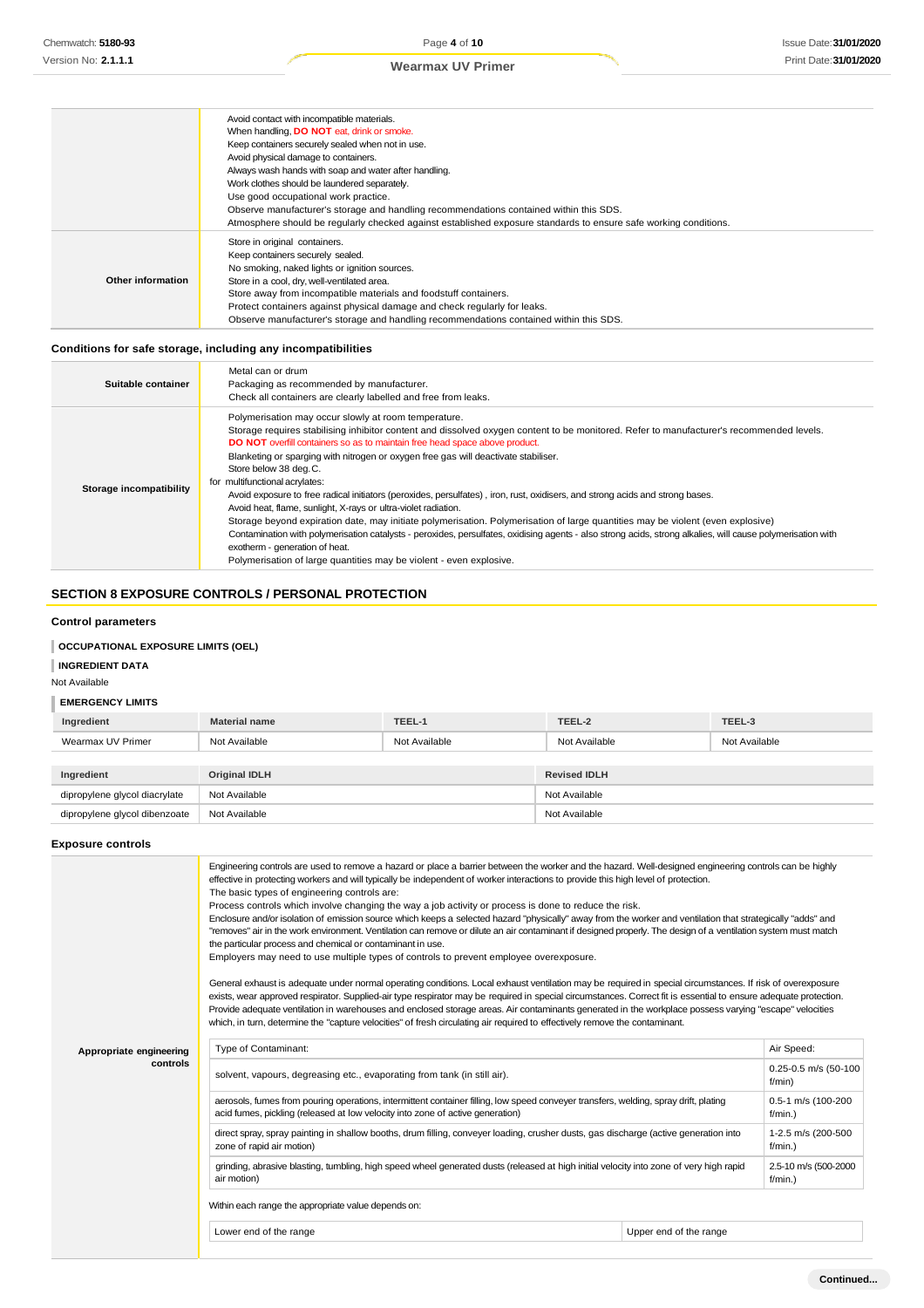|                   | Avoid contact with incompatible materials.                                                                       |
|-------------------|------------------------------------------------------------------------------------------------------------------|
|                   | When handling, <b>DO NOT</b> eat, drink or smoke.                                                                |
|                   | Keep containers securely sealed when not in use.                                                                 |
|                   | Avoid physical damage to containers.                                                                             |
|                   | Always wash hands with soap and water after handling.                                                            |
|                   | Work clothes should be laundered separately.                                                                     |
|                   | Use good occupational work practice.                                                                             |
|                   | Observe manufacturer's storage and handling recommendations contained within this SDS.                           |
|                   | Atmosphere should be regularly checked against established exposure standards to ensure safe working conditions. |
|                   | Store in original containers.                                                                                    |
|                   | Keep containers securely sealed.                                                                                 |
|                   | No smoking, naked lights or ignition sources.                                                                    |
| Other information | Store in a cool, dry, well-ventilated area.                                                                      |
|                   | Store away from incompatible materials and foodstuff containers.                                                 |
|                   | Protect containers against physical damage and check regularly for leaks.                                        |
|                   | Observe manufacturer's storage and handling recommendations contained within this SDS.                           |
|                   |                                                                                                                  |

## **Conditions for safe storage, including any incompatibilities**

| Suitable container      | Metal can or drum<br>Packaging as recommended by manufacturer.<br>Check all containers are clearly labelled and free from leaks.                                                                                                                                                                                                                                                                                                                                                                                                                                                                                                                                                                                                                                                                                                                                                                                                                                                                                                                |
|-------------------------|-------------------------------------------------------------------------------------------------------------------------------------------------------------------------------------------------------------------------------------------------------------------------------------------------------------------------------------------------------------------------------------------------------------------------------------------------------------------------------------------------------------------------------------------------------------------------------------------------------------------------------------------------------------------------------------------------------------------------------------------------------------------------------------------------------------------------------------------------------------------------------------------------------------------------------------------------------------------------------------------------------------------------------------------------|
| Storage incompatibility | Polymerisation may occur slowly at room temperature.<br>Storage requires stabilising inhibitor content and dissolved oxygen content to be monitored. Refer to manufacturer's recommended levels.<br>DO NOT overfill containers so as to maintain free head space above product.<br>Blanketing or sparging with nitrogen or oxygen free gas will deactivate stabiliser.<br>Store below 38 deg.C.<br>for multifunctional acrylates:<br>Avoid exposure to free radical initiators (peroxides, persulfates), iron, rust, oxidisers, and strong acids and strong bases.<br>Avoid heat, flame, sunlight, X-rays or ultra-violet radiation.<br>Storage beyond expiration date, may initiate polymerisation. Polymerisation of large quantities may be violent (even explosive)<br>Contamination with polymerisation catalysts - peroxides, persulfates, oxidising agents - also strong acids, strong alkalies, will cause polymerisation with<br>exotherm - generation of heat.<br>Polymerisation of large quantities may be violent - even explosive. |

## **SECTION 8 EXPOSURE CONTROLS / PERSONAL PROTECTION**

## **Control parameters**

## **OCCUPATIONAL EXPOSURE LIMITS (OEL)**

## **INGREDIENT DATA**

Not Available

## **EMERGENCY LIMITS**

| Ingredient                    | <b>Material name</b> | TEEL-1        | TEEL-2              | TEEL-3        |
|-------------------------------|----------------------|---------------|---------------------|---------------|
| Wearmax UV Primer             | Not Available        | Not Available | Not Available       | Not Available |
|                               |                      |               |                     |               |
| Ingredient                    | <b>Original IDLH</b> |               | <b>Revised IDLH</b> |               |
|                               |                      |               |                     |               |
| dipropylene glycol diacrylate | Not Available        |               | Not Available       |               |

## **Exposure controls**

|                         | Engineering controls are used to remove a hazard or place a barrier between the worker and the hazard. Well-designed engineering controls can be highly<br>effective in protecting workers and will typically be independent of worker interactions to provide this high level of protection.<br>The basic types of engineering controls are:<br>Process controls which involve changing the way a job activity or process is done to reduce the risk.<br>Enclosure and/or isolation of emission source which keeps a selected hazard "physically" away from the worker and ventilation that strategically "adds" and<br>"removes" air in the work environment. Ventilation can remove or dilute an air contaminant if designed properly. The design of a ventilation system must match<br>the particular process and chemical or contaminant in use.<br>Employers may need to use multiple types of controls to prevent employee overexposure.<br>General exhaust is adequate under normal operating conditions. Local exhaust ventilation may be required in special circumstances. If risk of overexposure<br>exists, wear approved respirator. Supplied-air type respirator may be required in special circumstances. Correct fit is essential to ensure adequate protection.<br>Provide adequate ventilation in warehouses and enclosed storage areas. Air contaminants generated in the workplace possess varying "escape" velocities<br>which, in turn, determine the "capture velocities" of fresh circulating air required to effectively remove the contaminant. |                        |                                    |  |  |
|-------------------------|----------------------------------------------------------------------------------------------------------------------------------------------------------------------------------------------------------------------------------------------------------------------------------------------------------------------------------------------------------------------------------------------------------------------------------------------------------------------------------------------------------------------------------------------------------------------------------------------------------------------------------------------------------------------------------------------------------------------------------------------------------------------------------------------------------------------------------------------------------------------------------------------------------------------------------------------------------------------------------------------------------------------------------------------------------------------------------------------------------------------------------------------------------------------------------------------------------------------------------------------------------------------------------------------------------------------------------------------------------------------------------------------------------------------------------------------------------------------------------------------------------------------------------------------------------------------------|------------------------|------------------------------------|--|--|
| Appropriate engineering | Type of Contaminant:                                                                                                                                                                                                                                                                                                                                                                                                                                                                                                                                                                                                                                                                                                                                                                                                                                                                                                                                                                                                                                                                                                                                                                                                                                                                                                                                                                                                                                                                                                                                                       |                        | Air Speed:                         |  |  |
| controls                | solvent, vapours, degreasing etc., evaporating from tank (in still air).                                                                                                                                                                                                                                                                                                                                                                                                                                                                                                                                                                                                                                                                                                                                                                                                                                                                                                                                                                                                                                                                                                                                                                                                                                                                                                                                                                                                                                                                                                   |                        | 0.25-0.5 m/s (50-100<br>f/min)     |  |  |
|                         | aerosols, fumes from pouring operations, intermittent container filling, low speed conveyer transfers, welding, spray drift, plating<br>acid fumes, pickling (released at low velocity into zone of active generation)                                                                                                                                                                                                                                                                                                                                                                                                                                                                                                                                                                                                                                                                                                                                                                                                                                                                                                                                                                                                                                                                                                                                                                                                                                                                                                                                                     |                        | 0.5-1 m/s (100-200<br>$f/min.$ )   |  |  |
|                         | direct spray, spray painting in shallow booths, drum filling, conveyer loading, crusher dusts, gas discharge (active generation into<br>zone of rapid air motion)                                                                                                                                                                                                                                                                                                                                                                                                                                                                                                                                                                                                                                                                                                                                                                                                                                                                                                                                                                                                                                                                                                                                                                                                                                                                                                                                                                                                          |                        | 1-2.5 m/s (200-500<br>$f/min.$ )   |  |  |
|                         | grinding, abrasive blasting, tumbling, high speed wheel generated dusts (released at high initial velocity into zone of very high rapid<br>air motion)                                                                                                                                                                                                                                                                                                                                                                                                                                                                                                                                                                                                                                                                                                                                                                                                                                                                                                                                                                                                                                                                                                                                                                                                                                                                                                                                                                                                                     |                        | 2.5-10 m/s (500-2000<br>$f/min.$ ) |  |  |
|                         | Within each range the appropriate value depends on:                                                                                                                                                                                                                                                                                                                                                                                                                                                                                                                                                                                                                                                                                                                                                                                                                                                                                                                                                                                                                                                                                                                                                                                                                                                                                                                                                                                                                                                                                                                        |                        |                                    |  |  |
|                         | Lower end of the range                                                                                                                                                                                                                                                                                                                                                                                                                                                                                                                                                                                                                                                                                                                                                                                                                                                                                                                                                                                                                                                                                                                                                                                                                                                                                                                                                                                                                                                                                                                                                     | Upper end of the range |                                    |  |  |
|                         |                                                                                                                                                                                                                                                                                                                                                                                                                                                                                                                                                                                                                                                                                                                                                                                                                                                                                                                                                                                                                                                                                                                                                                                                                                                                                                                                                                                                                                                                                                                                                                            |                        |                                    |  |  |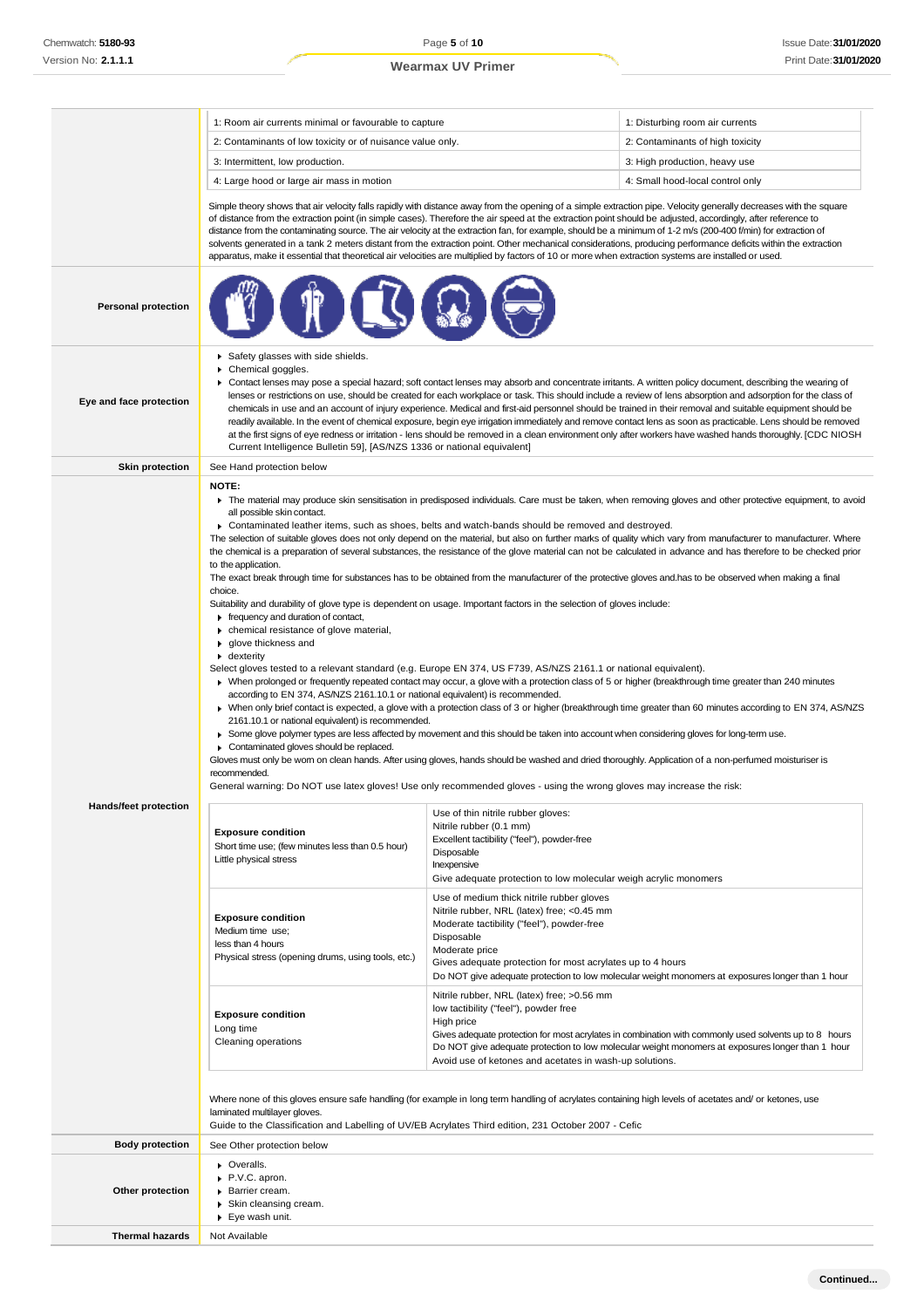**Thermal hazards** Not Available

## **Wearmax UV Primer**

|                              | 1: Room air currents minimal or favourable to capture                                                                                                                                                                                                                                                                                                                                                                                                                                                                                                                                                                                                                                                                                                                                                                                                                                                                                                                                                                                                                                                                                                                                          |                                                                                                                                                                                                                                     | 1: Disturbing room air currents                                                                                                                                                                                                                                                                                                                                                                                                                                                                                                                                                                                                                                                                                                                                                                                                                                                                                                                                                       |
|------------------------------|------------------------------------------------------------------------------------------------------------------------------------------------------------------------------------------------------------------------------------------------------------------------------------------------------------------------------------------------------------------------------------------------------------------------------------------------------------------------------------------------------------------------------------------------------------------------------------------------------------------------------------------------------------------------------------------------------------------------------------------------------------------------------------------------------------------------------------------------------------------------------------------------------------------------------------------------------------------------------------------------------------------------------------------------------------------------------------------------------------------------------------------------------------------------------------------------|-------------------------------------------------------------------------------------------------------------------------------------------------------------------------------------------------------------------------------------|---------------------------------------------------------------------------------------------------------------------------------------------------------------------------------------------------------------------------------------------------------------------------------------------------------------------------------------------------------------------------------------------------------------------------------------------------------------------------------------------------------------------------------------------------------------------------------------------------------------------------------------------------------------------------------------------------------------------------------------------------------------------------------------------------------------------------------------------------------------------------------------------------------------------------------------------------------------------------------------|
|                              | 2: Contaminants of low toxicity or of nuisance value only.                                                                                                                                                                                                                                                                                                                                                                                                                                                                                                                                                                                                                                                                                                                                                                                                                                                                                                                                                                                                                                                                                                                                     |                                                                                                                                                                                                                                     | 2: Contaminants of high toxicity                                                                                                                                                                                                                                                                                                                                                                                                                                                                                                                                                                                                                                                                                                                                                                                                                                                                                                                                                      |
|                              | 3: Intermittent, low production.                                                                                                                                                                                                                                                                                                                                                                                                                                                                                                                                                                                                                                                                                                                                                                                                                                                                                                                                                                                                                                                                                                                                                               |                                                                                                                                                                                                                                     | 3: High production, heavy use                                                                                                                                                                                                                                                                                                                                                                                                                                                                                                                                                                                                                                                                                                                                                                                                                                                                                                                                                         |
|                              | 4: Large hood or large air mass in motion                                                                                                                                                                                                                                                                                                                                                                                                                                                                                                                                                                                                                                                                                                                                                                                                                                                                                                                                                                                                                                                                                                                                                      |                                                                                                                                                                                                                                     | 4: Small hood-local control only                                                                                                                                                                                                                                                                                                                                                                                                                                                                                                                                                                                                                                                                                                                                                                                                                                                                                                                                                      |
|                              | of distance from the extraction point (in simple cases). Therefore the air speed at the extraction point should be adjusted, accordingly, after reference to<br>distance from the contaminating source. The air velocity at the extraction fan, for example, should be a minimum of 1-2 m/s (200-400 f/min) for extraction of<br>apparatus, make it essential that theoretical air velocities are multiplied by factors of 10 or more when extraction systems are installed or used.                                                                                                                                                                                                                                                                                                                                                                                                                                                                                                                                                                                                                                                                                                           |                                                                                                                                                                                                                                     | Simple theory shows that air velocity falls rapidly with distance away from the opening of a simple extraction pipe. Velocity generally decreases with the square<br>solvents generated in a tank 2 meters distant from the extraction point. Other mechanical considerations, producing performance deficits within the extraction                                                                                                                                                                                                                                                                                                                                                                                                                                                                                                                                                                                                                                                   |
| <b>Personal protection</b>   |                                                                                                                                                                                                                                                                                                                                                                                                                                                                                                                                                                                                                                                                                                                                                                                                                                                                                                                                                                                                                                                                                                                                                                                                |                                                                                                                                                                                                                                     |                                                                                                                                                                                                                                                                                                                                                                                                                                                                                                                                                                                                                                                                                                                                                                                                                                                                                                                                                                                       |
| Eye and face protection      | Safety glasses with side shields.<br>Chemical goggles.<br>▶ Contact lenses may pose a special hazard; soft contact lenses may absorb and concentrate irritants. A written policy document, describing the wearing of<br>lenses or restrictions on use, should be created for each workplace or task. This should include a review of lens absorption and adsorption for the class of<br>chemicals in use and an account of injury experience. Medical and first-aid personnel should be trained in their removal and suitable equipment should be<br>readily available. In the event of chemical exposure, begin eye irrigation immediately and remove contact lens as soon as practicable. Lens should be removed<br>at the first signs of eye redness or irritation - lens should be removed in a clean environment only after workers have washed hands thoroughly. [CDC NIOSH<br>Current Intelligence Bulletin 59], [AS/NZS 1336 or national equivalent]                                                                                                                                                                                                                                   |                                                                                                                                                                                                                                     |                                                                                                                                                                                                                                                                                                                                                                                                                                                                                                                                                                                                                                                                                                                                                                                                                                                                                                                                                                                       |
| <b>Skin protection</b>       | See Hand protection below                                                                                                                                                                                                                                                                                                                                                                                                                                                                                                                                                                                                                                                                                                                                                                                                                                                                                                                                                                                                                                                                                                                                                                      |                                                                                                                                                                                                                                     |                                                                                                                                                                                                                                                                                                                                                                                                                                                                                                                                                                                                                                                                                                                                                                                                                                                                                                                                                                                       |
|                              | NOTE:<br>all possible skin contact.<br>► Contaminated leather items, such as shoes, belts and watch-bands should be removed and destroyed.<br>to the application.<br>choice.<br>Suitability and durability of glove type is dependent on usage. Important factors in the selection of gloves include:<br>Firequency and duration of contact,<br>• chemical resistance of glove material,<br>▶ glove thickness and<br>$\bullet$ dexterity<br>Select gloves tested to a relevant standard (e.g. Europe EN 374, US F739, AS/NZS 2161.1 or national equivalent).<br>according to EN 374, AS/NZS 2161.10.1 or national equivalent) is recommended.<br>2161.10.1 or national equivalent) is recommended.<br>▶ Some glove polymer types are less affected by movement and this should be taken into account when considering gloves for long-term use.<br>• Contaminated gloves should be replaced.<br>Gloves must only be wom on clean hands. After using gloves, hands should be washed and dried thoroughly. Application of a non-perfumed moisturiser is<br>recommended.<br>General warning: Do NOT use latex gloves! Use only recommended gloves - using the wrong gloves may increase the risk: |                                                                                                                                                                                                                                     | The material may produce skin sensitisation in predisposed individuals. Care must be taken, when removing gloves and other protective equipment, to avoid<br>The selection of suitable gloves does not only depend on the material, but also on further marks of quality which vary from manufacturer to manufacturer. Where<br>the chemical is a preparation of several substances, the resistance of the glove material can not be calculated in advance and has therefore to be checked prior<br>The exact break through time for substances has to be obtained from the manufacturer of the protective gloves and has to be observed when making a final<br>> When prolonged or frequently repeated contact may occur, a glove with a protection class of 5 or higher (breakthrough time greater than 240 minutes<br>> When only brief contact is expected, a glove with a protection class of 3 or higher (breakthrough time greater than 60 minutes according to EN 374, AS/NZS |
| <b>Hands/feet protection</b> | <b>Exposure condition</b><br>Short time use; (few minutes less than 0.5 hour)<br>Little physical stress                                                                                                                                                                                                                                                                                                                                                                                                                                                                                                                                                                                                                                                                                                                                                                                                                                                                                                                                                                                                                                                                                        | Use of thin nitrile rubber gloves:<br>Nitrile rubber (0.1 mm)<br>Excellent tactibility ("feel"), powder-free<br>Disposable<br>Inexpensive<br>Give adequate protection to low molecular weigh acrylic monomers                       |                                                                                                                                                                                                                                                                                                                                                                                                                                                                                                                                                                                                                                                                                                                                                                                                                                                                                                                                                                                       |
|                              | <b>Exposure condition</b><br>Medium time use;<br>less than 4 hours<br>Physical stress (opening drums, using tools, etc.)                                                                                                                                                                                                                                                                                                                                                                                                                                                                                                                                                                                                                                                                                                                                                                                                                                                                                                                                                                                                                                                                       | Use of medium thick nitrile rubber gloves<br>Nitrile rubber, NRL (latex) free; <0.45 mm<br>Moderate tactibility ("feel"), powder-free<br>Disposable<br>Moderate price<br>Gives adequate protection for most acrylates up to 4 hours | Do NOT give adequate protection to low molecular weight monomers at exposures longer than 1 hour                                                                                                                                                                                                                                                                                                                                                                                                                                                                                                                                                                                                                                                                                                                                                                                                                                                                                      |
|                              | <b>Exposure condition</b><br>Long time<br>Cleaning operations                                                                                                                                                                                                                                                                                                                                                                                                                                                                                                                                                                                                                                                                                                                                                                                                                                                                                                                                                                                                                                                                                                                                  | Nitrile rubber, NRL (latex) free; >0.56 mm<br>low tactibility ("feel"), powder free<br>High price<br>Avoid use of ketones and acetates in wash-up solutions.                                                                        | Gives adequate protection for most acrylates in combination with commonly used solvents up to 8 hours<br>Do NOT give adequate protection to low molecular weight monomers at exposures longer than 1 hour                                                                                                                                                                                                                                                                                                                                                                                                                                                                                                                                                                                                                                                                                                                                                                             |
|                              | Where none of this gloves ensure safe handling (for example in long term handling of acrylates containing high levels of acetates and/or ketones, use<br>laminated multilayer gloves.<br>Guide to the Classification and Labelling of UV/EB Acrylates Third edition, 231 October 2007 - Cefic                                                                                                                                                                                                                                                                                                                                                                                                                                                                                                                                                                                                                                                                                                                                                                                                                                                                                                  |                                                                                                                                                                                                                                     |                                                                                                                                                                                                                                                                                                                                                                                                                                                                                                                                                                                                                                                                                                                                                                                                                                                                                                                                                                                       |
| <b>Body protection</b>       | See Other protection below                                                                                                                                                                                                                                                                                                                                                                                                                                                                                                                                                                                                                                                                                                                                                                                                                                                                                                                                                                                                                                                                                                                                                                     |                                                                                                                                                                                                                                     |                                                                                                                                                                                                                                                                                                                                                                                                                                                                                                                                                                                                                                                                                                                                                                                                                                                                                                                                                                                       |
| Other protection             | • Overalls.<br>P.V.C. apron.<br>Barrier cream.<br>▶ Skin cleansing cream.<br>▶ Eye wash unit.                                                                                                                                                                                                                                                                                                                                                                                                                                                                                                                                                                                                                                                                                                                                                                                                                                                                                                                                                                                                                                                                                                  |                                                                                                                                                                                                                                     |                                                                                                                                                                                                                                                                                                                                                                                                                                                                                                                                                                                                                                                                                                                                                                                                                                                                                                                                                                                       |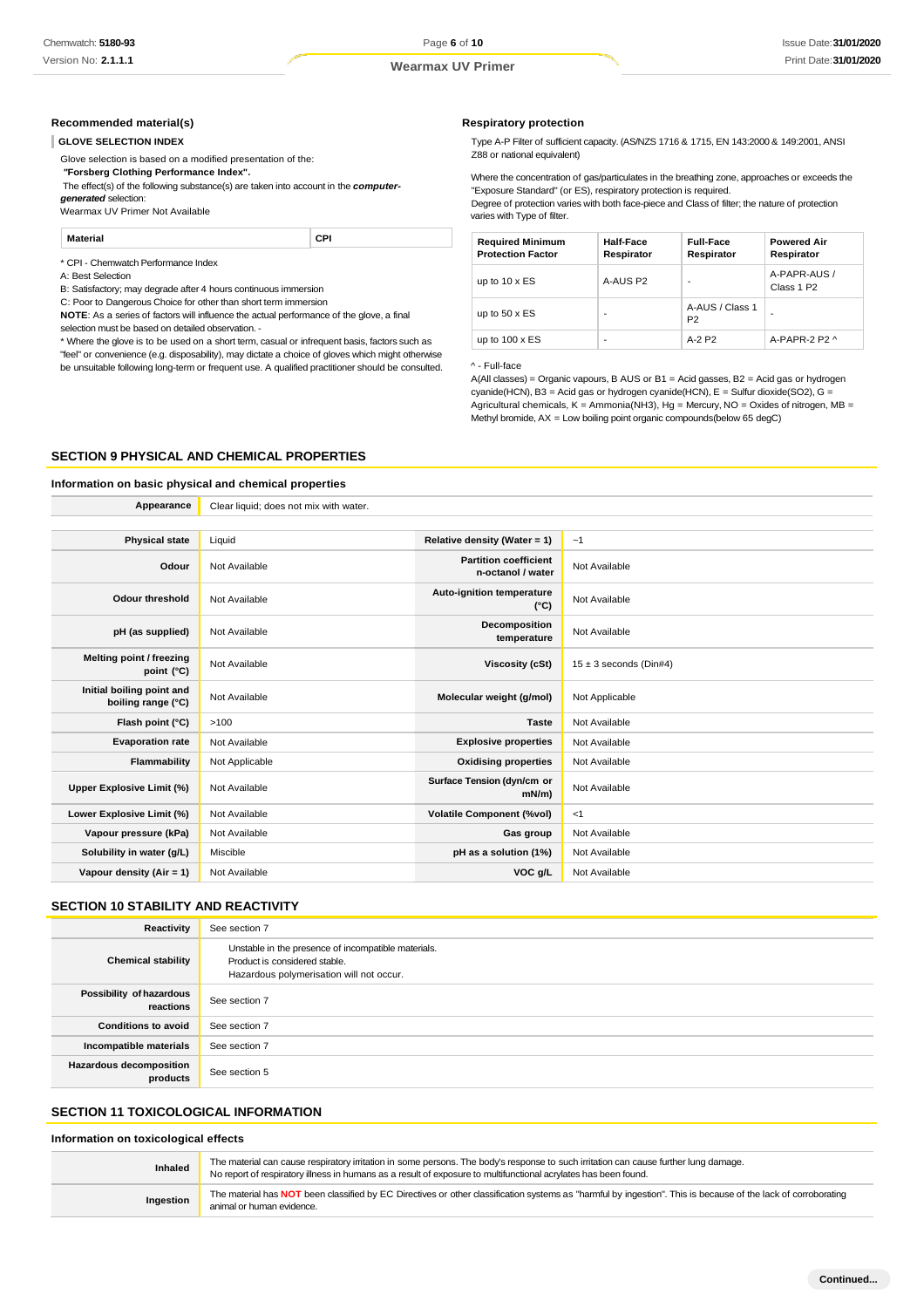#### **Recommended material(s)**

#### **GLOVE SELECTION INDEX**

Glove selection is based on a modified presentation of the:

*"***Forsberg Clothing Performance Index".**

The effect(s) of the following substance(s) are taken into account in the *computer-*

*generated* selection:

Wearmax UV Primer Not Available

#### **Material CPI**

\* CPI - Chemwatch Performance Index

A: Best Selection

B: Satisfactory; may degrade after 4 hours continuous immersion

C: Poor to Dangerous Choice for other than short term immersion

**NOTE**: As a series of factors will influence the actual performance of the glove, a final selection must be based on detailed observation. -

\* Where the glove is to be used on a short term, casual or infrequent basis, factors such as "feel" or convenience (e.g. disposability), may dictate a choice of gloves which might otherwise be unsuitable following long-term or frequent use. A qualified practitioner should be consulted.

**Appearance** Clear liquid; does not mix with water.

#### **Respiratory protection**

Type A-P Filter of sufficient capacity. (AS/NZS 1716 & 1715, EN 143:2000 & 149:2001, ANSI Z88 or national equivalent)

Where the concentration of gas/particulates in the breathing zone, approaches or exceeds the "Exposure Standard" (or ES), respiratory protection is required.

Degree of protection varies with both face-piece and Class of filter; the nature of protection varies with Type of filter.

| <b>Required Minimum</b><br><b>Protection Factor</b> | Half-Face<br>Respirator | <b>Full-Face</b><br>Respirator    | <b>Powered Air</b><br>Respirator       |
|-----------------------------------------------------|-------------------------|-----------------------------------|----------------------------------------|
| up to $10 \times ES$                                | A-AUS P2                | -                                 | A-PAPR-AUS /<br>Class 1 P <sub>2</sub> |
| up to $50 \times ES$                                | ۰                       | A-AUS / Class 1<br>P <sub>2</sub> | -                                      |
| up to $100 \times ES$                               | -                       | $A-2P2$                           | A-PAPR-2 P2 $\land$                    |

#### ^ - Full-face

A(All classes) = Organic vapours, B AUS or B1 = Acid gasses, B2 = Acid gas or hydrogen cyanide(HCN), B3 = Acid gas or hydrogen cyanide(HCN), E = Sulfur dioxide(SO2), G = Agricultural chemicals,  $K =$  Ammonia(NH3), Hg = Mercury, NO = Oxides of nitrogen, MB = Methyl bromide, AX = Low boiling point organic compounds(below 65 degC)

#### **SECTION 9 PHYSICAL AND CHEMICAL PROPERTIES**

## **Information on basic physical and chemical properties**

| <b>Physical state</b>                           | Liquid         | Relative density (Water = 1)                      | ~1                         |
|-------------------------------------------------|----------------|---------------------------------------------------|----------------------------|
| Odour                                           | Not Available  | <b>Partition coefficient</b><br>n-octanol / water | Not Available              |
| <b>Odour threshold</b>                          | Not Available  | Auto-ignition temperature<br>$(^{\circ}C)$        | Not Available              |
| pH (as supplied)                                | Not Available  | Decomposition<br>temperature                      | Not Available              |
| Melting point / freezing<br>point (°C)          | Not Available  | Viscosity (cSt)                                   | $15 \pm 3$ seconds (Din#4) |
| Initial boiling point and<br>boiling range (°C) | Not Available  | Molecular weight (g/mol)                          | Not Applicable             |
| Flash point (°C)                                | >100           | <b>Taste</b>                                      | Not Available              |
| <b>Evaporation rate</b>                         | Not Available  | <b>Explosive properties</b>                       | Not Available              |
| Flammability                                    | Not Applicable | <b>Oxidising properties</b>                       | Not Available              |
| Upper Explosive Limit (%)                       | Not Available  | Surface Tension (dyn/cm or<br>$mN/m$ )            | Not Available              |
| Lower Explosive Limit (%)                       | Not Available  | <b>Volatile Component (%vol)</b>                  | <1                         |
| Vapour pressure (kPa)                           | Not Available  | Gas group                                         | Not Available              |
| Solubility in water (g/L)                       | Miscible       | pH as a solution (1%)                             | Not Available              |
| Vapour density (Air = 1)                        | Not Available  | VOC g/L                                           | Not Available              |
|                                                 |                |                                                   |                            |

#### **SECTION 10 STABILITY AND REACTIVITY**

| Reactivity                            | See section 7                                                                                                                    |
|---------------------------------------|----------------------------------------------------------------------------------------------------------------------------------|
| <b>Chemical stability</b>             | Unstable in the presence of incompatible materials.<br>Product is considered stable.<br>Hazardous polymerisation will not occur. |
| Possibility of hazardous<br>reactions | See section 7                                                                                                                    |
| <b>Conditions to avoid</b>            | See section 7                                                                                                                    |
| Incompatible materials                | See section 7                                                                                                                    |
| Hazardous decomposition<br>products   | See section 5                                                                                                                    |

## **SECTION 11 TOXICOLOGICAL INFORMATION**

#### **Information on toxicological effects**

| Inhaled   | The material can cause respiratory irritation in some persons. The body's response to such irritation can cause further lung damage.<br>No report of respiratory illness in humans as a result of exposure to multifunctional acrylates has been found. |
|-----------|---------------------------------------------------------------------------------------------------------------------------------------------------------------------------------------------------------------------------------------------------------|
| Ingestion | The material has NOT been classified by EC Directives or other classification systems as "harmful by ingestion". This is because of the lack of corroborating<br>animal or human evidence.                                                              |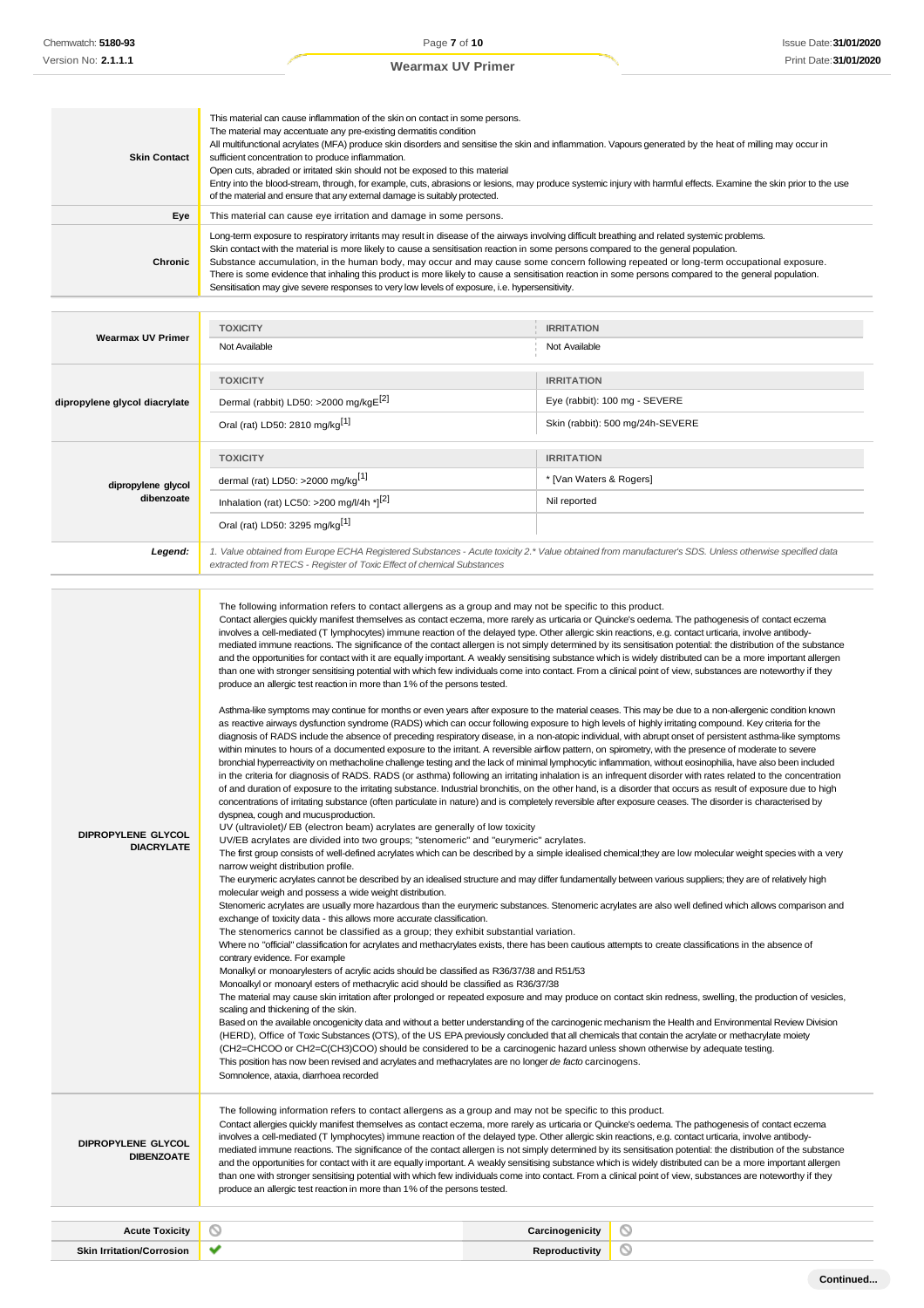| <b>Skin Contact</b>                     | This material can cause inflammation of the skin on contact in some persons.<br>The material may accentuate any pre-existing dermatitis condition<br>All multifunctional acrylates (MFA) produce skin disorders and sensitise the skin and inflammation. Vapours generated by the heat of milling may occur in<br>sufficient concentration to produce inflammation.<br>Open cuts, abraded or irritated skin should not be exposed to this material<br>Entry into the blood-stream, through, for example, cuts, abrasions or lesions, may produce systemic injury with harmful effects. Examine the skin prior to the use<br>of the material and ensure that any external damage is suitably protected.                                                                                                                                                                                                                                                                                                                                                                                                                                                                                                                                                                                                                                                                                                                                                                                                                                                                                                                                                                                                                                                                                                                                                                                                                                                                                                                                                                                                                                                                                                                                                                                                                                                                                                                                                                                                                                                                                                                                                                                                                                                                                                                                                                                                                                                                                                                                                                                                                                                                                                                                                                                                                                                                                                                                                                                                                                                                                                                                                                                                                                                                                                                                                                                                                                                                                                                                                                                                                                                                                                                                                                                                                                                                                                                                                                  |                                  |
|-----------------------------------------|-------------------------------------------------------------------------------------------------------------------------------------------------------------------------------------------------------------------------------------------------------------------------------------------------------------------------------------------------------------------------------------------------------------------------------------------------------------------------------------------------------------------------------------------------------------------------------------------------------------------------------------------------------------------------------------------------------------------------------------------------------------------------------------------------------------------------------------------------------------------------------------------------------------------------------------------------------------------------------------------------------------------------------------------------------------------------------------------------------------------------------------------------------------------------------------------------------------------------------------------------------------------------------------------------------------------------------------------------------------------------------------------------------------------------------------------------------------------------------------------------------------------------------------------------------------------------------------------------------------------------------------------------------------------------------------------------------------------------------------------------------------------------------------------------------------------------------------------------------------------------------------------------------------------------------------------------------------------------------------------------------------------------------------------------------------------------------------------------------------------------------------------------------------------------------------------------------------------------------------------------------------------------------------------------------------------------------------------------------------------------------------------------------------------------------------------------------------------------------------------------------------------------------------------------------------------------------------------------------------------------------------------------------------------------------------------------------------------------------------------------------------------------------------------------------------------------------------------------------------------------------------------------------------------------------------------------------------------------------------------------------------------------------------------------------------------------------------------------------------------------------------------------------------------------------------------------------------------------------------------------------------------------------------------------------------------------------------------------------------------------------------------------------------------------------------------------------------------------------------------------------------------------------------------------------------------------------------------------------------------------------------------------------------------------------------------------------------------------------------------------------------------------------------------------------------------------------------------------------------------------------------------------------------------------------------------------------------------------------------------------------------------------------------------------------------------------------------------------------------------------------------------------------------------------------------------------------------------------------------------------------------------------------------------------------------------------------------------------------------------------------------------------------------------------------------------------------------------------|----------------------------------|
| Eye                                     | This material can cause eye irritation and damage in some persons.                                                                                                                                                                                                                                                                                                                                                                                                                                                                                                                                                                                                                                                                                                                                                                                                                                                                                                                                                                                                                                                                                                                                                                                                                                                                                                                                                                                                                                                                                                                                                                                                                                                                                                                                                                                                                                                                                                                                                                                                                                                                                                                                                                                                                                                                                                                                                                                                                                                                                                                                                                                                                                                                                                                                                                                                                                                                                                                                                                                                                                                                                                                                                                                                                                                                                                                                                                                                                                                                                                                                                                                                                                                                                                                                                                                                                                                                                                                                                                                                                                                                                                                                                                                                                                                                                                                                                                                                      |                                  |
| Chronic                                 | Long-term exposure to respiratory irritants may result in disease of the airways involving difficult breathing and related systemic problems.<br>Skin contact with the material is more likely to cause a sensitisation reaction in some persons compared to the general population.<br>Substance accumulation, in the human body, may occur and may cause some concern following repeated or long-term occupational exposure.<br>There is some evidence that inhaling this product is more likely to cause a sensitisation reaction in some persons compared to the general population.<br>Sensitisation may give severe responses to very low levels of exposure, i.e. hypersensitivity.                                                                                                                                                                                                                                                                                                                                                                                                                                                                                                                                                                                                                                                                                                                                                                                                                                                                                                                                                                                                                                                                                                                                                                                                                                                                                                                                                                                                                                                                                                                                                                                                                                                                                                                                                                                                                                                                                                                                                                                                                                                                                                                                                                                                                                                                                                                                                                                                                                                                                                                                                                                                                                                                                                                                                                                                                                                                                                                                                                                                                                                                                                                                                                                                                                                                                                                                                                                                                                                                                                                                                                                                                                                                                                                                                                              |                                  |
|                                         | <b>TOXICITY</b>                                                                                                                                                                                                                                                                                                                                                                                                                                                                                                                                                                                                                                                                                                                                                                                                                                                                                                                                                                                                                                                                                                                                                                                                                                                                                                                                                                                                                                                                                                                                                                                                                                                                                                                                                                                                                                                                                                                                                                                                                                                                                                                                                                                                                                                                                                                                                                                                                                                                                                                                                                                                                                                                                                                                                                                                                                                                                                                                                                                                                                                                                                                                                                                                                                                                                                                                                                                                                                                                                                                                                                                                                                                                                                                                                                                                                                                                                                                                                                                                                                                                                                                                                                                                                                                                                                                                                                                                                                                         | <b>IRRITATION</b>                |
| Wearmax UV Primer                       | Not Available                                                                                                                                                                                                                                                                                                                                                                                                                                                                                                                                                                                                                                                                                                                                                                                                                                                                                                                                                                                                                                                                                                                                                                                                                                                                                                                                                                                                                                                                                                                                                                                                                                                                                                                                                                                                                                                                                                                                                                                                                                                                                                                                                                                                                                                                                                                                                                                                                                                                                                                                                                                                                                                                                                                                                                                                                                                                                                                                                                                                                                                                                                                                                                                                                                                                                                                                                                                                                                                                                                                                                                                                                                                                                                                                                                                                                                                                                                                                                                                                                                                                                                                                                                                                                                                                                                                                                                                                                                                           | Not Available                    |
|                                         |                                                                                                                                                                                                                                                                                                                                                                                                                                                                                                                                                                                                                                                                                                                                                                                                                                                                                                                                                                                                                                                                                                                                                                                                                                                                                                                                                                                                                                                                                                                                                                                                                                                                                                                                                                                                                                                                                                                                                                                                                                                                                                                                                                                                                                                                                                                                                                                                                                                                                                                                                                                                                                                                                                                                                                                                                                                                                                                                                                                                                                                                                                                                                                                                                                                                                                                                                                                                                                                                                                                                                                                                                                                                                                                                                                                                                                                                                                                                                                                                                                                                                                                                                                                                                                                                                                                                                                                                                                                                         |                                  |
|                                         | <b>TOXICITY</b>                                                                                                                                                                                                                                                                                                                                                                                                                                                                                                                                                                                                                                                                                                                                                                                                                                                                                                                                                                                                                                                                                                                                                                                                                                                                                                                                                                                                                                                                                                                                                                                                                                                                                                                                                                                                                                                                                                                                                                                                                                                                                                                                                                                                                                                                                                                                                                                                                                                                                                                                                                                                                                                                                                                                                                                                                                                                                                                                                                                                                                                                                                                                                                                                                                                                                                                                                                                                                                                                                                                                                                                                                                                                                                                                                                                                                                                                                                                                                                                                                                                                                                                                                                                                                                                                                                                                                                                                                                                         | <b>IRRITATION</b>                |
| dipropylene glycol diacrylate           | Dermal (rabbit) LD50: >2000 mg/kgE[2]                                                                                                                                                                                                                                                                                                                                                                                                                                                                                                                                                                                                                                                                                                                                                                                                                                                                                                                                                                                                                                                                                                                                                                                                                                                                                                                                                                                                                                                                                                                                                                                                                                                                                                                                                                                                                                                                                                                                                                                                                                                                                                                                                                                                                                                                                                                                                                                                                                                                                                                                                                                                                                                                                                                                                                                                                                                                                                                                                                                                                                                                                                                                                                                                                                                                                                                                                                                                                                                                                                                                                                                                                                                                                                                                                                                                                                                                                                                                                                                                                                                                                                                                                                                                                                                                                                                                                                                                                                   | Eye (rabbit): 100 mg - SEVERE    |
|                                         | Oral (rat) LD50: 2810 mg/kg <sup>[1]</sup>                                                                                                                                                                                                                                                                                                                                                                                                                                                                                                                                                                                                                                                                                                                                                                                                                                                                                                                                                                                                                                                                                                                                                                                                                                                                                                                                                                                                                                                                                                                                                                                                                                                                                                                                                                                                                                                                                                                                                                                                                                                                                                                                                                                                                                                                                                                                                                                                                                                                                                                                                                                                                                                                                                                                                                                                                                                                                                                                                                                                                                                                                                                                                                                                                                                                                                                                                                                                                                                                                                                                                                                                                                                                                                                                                                                                                                                                                                                                                                                                                                                                                                                                                                                                                                                                                                                                                                                                                              | Skin (rabbit): 500 mg/24h-SEVERE |
|                                         | <b>TOXICITY</b>                                                                                                                                                                                                                                                                                                                                                                                                                                                                                                                                                                                                                                                                                                                                                                                                                                                                                                                                                                                                                                                                                                                                                                                                                                                                                                                                                                                                                                                                                                                                                                                                                                                                                                                                                                                                                                                                                                                                                                                                                                                                                                                                                                                                                                                                                                                                                                                                                                                                                                                                                                                                                                                                                                                                                                                                                                                                                                                                                                                                                                                                                                                                                                                                                                                                                                                                                                                                                                                                                                                                                                                                                                                                                                                                                                                                                                                                                                                                                                                                                                                                                                                                                                                                                                                                                                                                                                                                                                                         | <b>IRRITATION</b>                |
| dipropylene glycol                      | dermal (rat) LD50: >2000 mg/kg <sup>[1]</sup>                                                                                                                                                                                                                                                                                                                                                                                                                                                                                                                                                                                                                                                                                                                                                                                                                                                                                                                                                                                                                                                                                                                                                                                                                                                                                                                                                                                                                                                                                                                                                                                                                                                                                                                                                                                                                                                                                                                                                                                                                                                                                                                                                                                                                                                                                                                                                                                                                                                                                                                                                                                                                                                                                                                                                                                                                                                                                                                                                                                                                                                                                                                                                                                                                                                                                                                                                                                                                                                                                                                                                                                                                                                                                                                                                                                                                                                                                                                                                                                                                                                                                                                                                                                                                                                                                                                                                                                                                           | * [Van Waters & Rogers]          |
| dibenzoate                              | Inhalation (rat) LC50: >200 mg/l/4h *][2]                                                                                                                                                                                                                                                                                                                                                                                                                                                                                                                                                                                                                                                                                                                                                                                                                                                                                                                                                                                                                                                                                                                                                                                                                                                                                                                                                                                                                                                                                                                                                                                                                                                                                                                                                                                                                                                                                                                                                                                                                                                                                                                                                                                                                                                                                                                                                                                                                                                                                                                                                                                                                                                                                                                                                                                                                                                                                                                                                                                                                                                                                                                                                                                                                                                                                                                                                                                                                                                                                                                                                                                                                                                                                                                                                                                                                                                                                                                                                                                                                                                                                                                                                                                                                                                                                                                                                                                                                               | Nil reported                     |
|                                         | Oral (rat) LD50: 3295 mg/kg <sup>[1]</sup>                                                                                                                                                                                                                                                                                                                                                                                                                                                                                                                                                                                                                                                                                                                                                                                                                                                                                                                                                                                                                                                                                                                                                                                                                                                                                                                                                                                                                                                                                                                                                                                                                                                                                                                                                                                                                                                                                                                                                                                                                                                                                                                                                                                                                                                                                                                                                                                                                                                                                                                                                                                                                                                                                                                                                                                                                                                                                                                                                                                                                                                                                                                                                                                                                                                                                                                                                                                                                                                                                                                                                                                                                                                                                                                                                                                                                                                                                                                                                                                                                                                                                                                                                                                                                                                                                                                                                                                                                              |                                  |
| Legend:                                 | 1. Value obtained from Europe ECHA Registered Substances - Acute toxicity 2.* Value obtained from manufacturer's SDS. Unless otherwise specified data<br>extracted from RTECS - Register of Toxic Effect of chemical Substances                                                                                                                                                                                                                                                                                                                                                                                                                                                                                                                                                                                                                                                                                                                                                                                                                                                                                                                                                                                                                                                                                                                                                                                                                                                                                                                                                                                                                                                                                                                                                                                                                                                                                                                                                                                                                                                                                                                                                                                                                                                                                                                                                                                                                                                                                                                                                                                                                                                                                                                                                                                                                                                                                                                                                                                                                                                                                                                                                                                                                                                                                                                                                                                                                                                                                                                                                                                                                                                                                                                                                                                                                                                                                                                                                                                                                                                                                                                                                                                                                                                                                                                                                                                                                                         |                                  |
| DIPROPYLENE GLYCOL<br><b>DIACRYLATE</b> | The following information refers to contact allergens as a group and may not be specific to this product.<br>Contact allergies quickly manifest themselves as contact eczema, more rarely as urticaria or Quincke's oedema. The pathogenesis of contact eczema<br>involves a cell-mediated (T lymphocytes) immune reaction of the delayed type. Other allergic skin reactions, e.g. contact urticaria, involve antibody-<br>mediated immune reactions. The significance of the contact allergen is not simply determined by its sensitisation potential: the distribution of the substance<br>and the opportunities for contact with it are equally important. A weakly sensitising substance which is widely distributed can be a more important allergen<br>than one with stronger sensitising potential with which few individuals come into contact. From a clinical point of view, substances are noteworthy if they<br>produce an allergic test reaction in more than 1% of the persons tested.<br>Asthma-like symptoms may continue for months or even years after exposure to the material ceases. This may be due to a non-allergenic condition known<br>as reactive airways dysfunction syndrome (RADS) which can occur following exposure to high levels of highly irritating compound. Key criteria for the<br>diagnosis of RADS include the absence of preceding respiratory disease, in a non-atopic individual, with abrupt onset of persistent asthma-like symptoms<br>within minutes to hours of a documented exposure to the irritant. A reversible airflow pattern, on spirometry, with the presence of moderate to severe<br>bronchial hyperreactivity on methacholine challenge testing and the lack of minimal lymphocytic inflammation, without eosinophilia, have also been included<br>in the criteria for diagnosis of RADS. RADS (or asthma) following an irritating inhalation is an infrequent disorder with rates related to the concentration<br>of and duration of exposure to the irritating substance. Industrial bronchitis, on the other hand, is a disorder that occurs as result of exposure due to high<br>concentrations of irritating substance (often particulate in nature) and is completely reversible after exposure ceases. I he disorder is characterised by<br>dyspnea, cough and mucus production.<br>UV (ultraviolet)/ EB (electron beam) acrylates are generally of low toxicity<br>UV/EB acrylates are divided into two groups; "stenomeric" and "eurymeric" acrylates.<br>The first group consists of well-defined acrylates which can be described by a simple idealised chemical; they are low molecular weight species with a very<br>narrow weight distribution profile.<br>The eurymeric acrylates cannot be described by an idealised structure and may differ fundamentally between various suppliers; they are of relatively high<br>molecular weigh and possess a wide weight distribution.<br>Stenomeric acrylates are usually more hazardous than the eurymeric substances. Stenomeric acrylates are also well defined which allows comparison and<br>exchange of toxicity data - this allows more accurate classification.<br>The stenomerics cannot be classified as a group; they exhibit substantial variation.<br>Where no "official" classification for acrylates and methacrylates exists, there has been cautious attempts to create classifications in the absence of<br>contrary evidence. For example<br>Monalkyl or monoarylesters of acrylic acids should be classified as R36/37/38 and R51/53<br>Monoalkyl or monoaryl esters of methacrylic acid should be classified as R36/37/38<br>The material may cause skin irritation after prolonged or repeated exposure and may produce on contact skin redness, swelling, the production of vesicles,<br>scaling and thickening of the skin.<br>Based on the available oncogenicity data and without a better understanding of the carcinogenic mechanism the Health and Environmental Review Division<br>(HERD), Office of Toxic Substances (OTS), of the US EPA previously concluded that all chemicals that contain the acrylate or methacrylate moiety<br>(CH2=CHCOO or CH2=C(CH3)COO) should be considered to be a carcinogenic hazard unless shown otherwise by adequate testing.<br>This position has now been revised and acrylates and methacrylates are no longer de facto carcinogens.<br>Somnolence, ataxia, diarrhoea recorded |                                  |
| DIPROPYLENE GLYCOL<br><b>DIBENZOATE</b> | The following information refers to contact allergens as a group and may not be specific to this product.<br>Contact allergies quickly manifest themselves as contact eczema, more rarely as urticaria or Quincke's oedema. The pathogenesis of contact eczema<br>involves a cell-mediated (T lymphocytes) immune reaction of the delayed type. Other allergic skin reactions, e.g. contact urticaria, involve antibody-<br>mediated immune reactions. The significance of the contact allergen is not simply determined by its sensitisation potential: the distribution of the substance<br>and the opportunities for contact with it are equally important. A weakly sensitising substance which is widely distributed can be a more important allergen<br>than one with stronger sensitising potential with which few individuals come into contact. From a clinical point of view, substances are noteworthy if they<br>produce an allergic test reaction in more than 1% of the persons tested.                                                                                                                                                                                                                                                                                                                                                                                                                                                                                                                                                                                                                                                                                                                                                                                                                                                                                                                                                                                                                                                                                                                                                                                                                                                                                                                                                                                                                                                                                                                                                                                                                                                                                                                                                                                                                                                                                                                                                                                                                                                                                                                                                                                                                                                                                                                                                                                                                                                                                                                                                                                                                                                                                                                                                                                                                                                                                                                                                                                                                                                                                                                                                                                                                                                                                                                                                                                                                                                                   |                                  |

**Acute Toxicity Carcinogenicity Skin Irritation/Corrosion Reproductivity**

 $\odot$  $\circledcirc$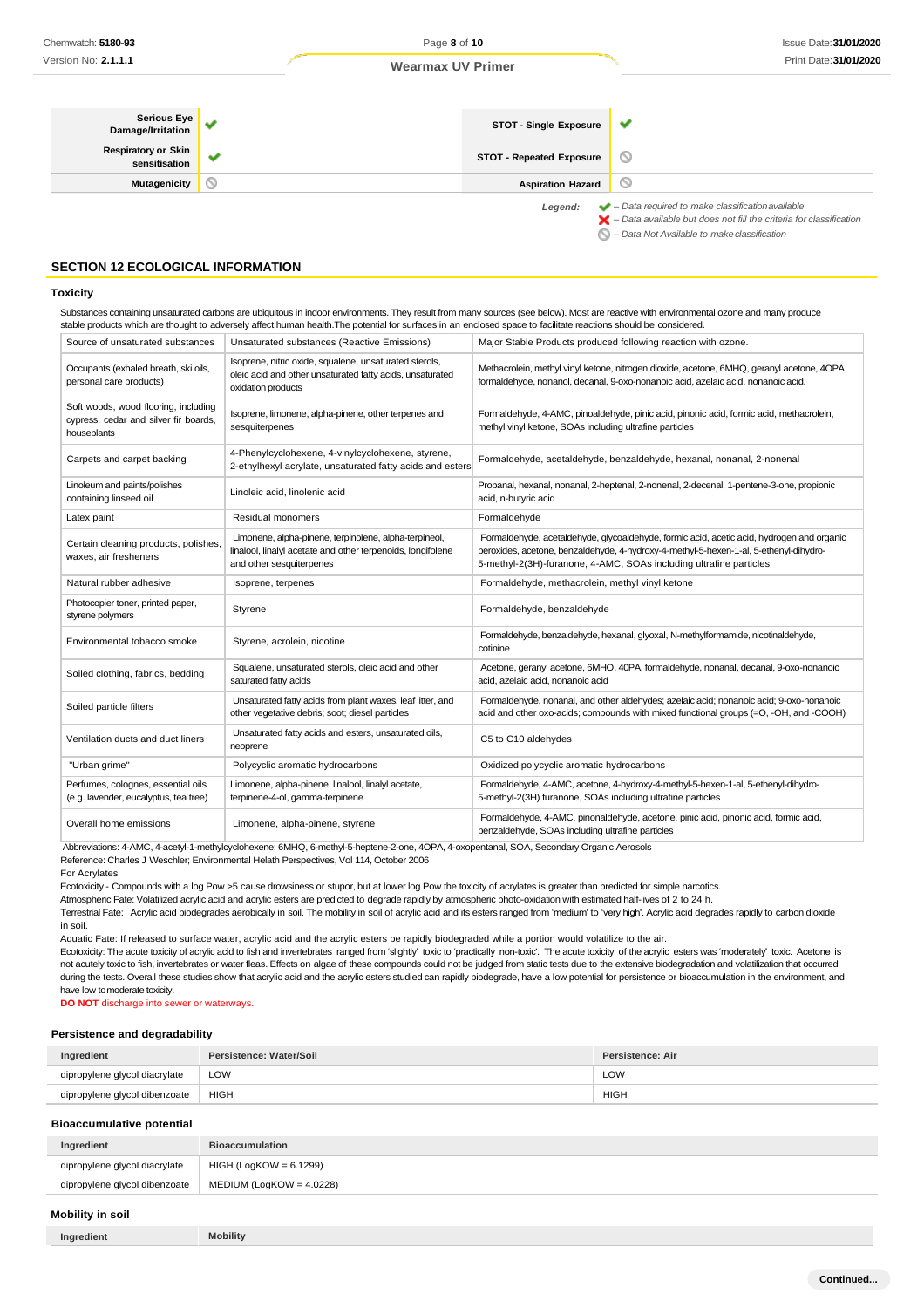| Serious Eye  <br>Damage/Irritation          |   | <b>STOT - Single Exposure</b>   |                                                                                                                                                                    |
|---------------------------------------------|---|---------------------------------|--------------------------------------------------------------------------------------------------------------------------------------------------------------------|
| <b>Respiratory or Skin</b><br>sensitisation | - | <b>STOT - Repeated Exposure</b> | $\circ$                                                                                                                                                            |
| Mutagenicity                                |   | <b>Aspiration Hazard</b>        | $\circ$                                                                                                                                                            |
|                                             |   | Legend:                         | $\blacktriangleright$ - Data required to make classification available<br>$\blacktriangleright$ - Data available but does not fill the criteria for classification |

*– Data Not Available to makeclassification*

## **SECTION 12 ECOLOGICAL INFORMATION**

#### **Toxicity**

Substances containing unsaturated carbons are ubiquitous in indoor environments. They result from many sources (see below). Most are reactive with environmental ozone and many produce stable products which are thought to adversely affect human health.The potential for surfaces in an enclosed space to facilitate reactions should be considered.

| Source of unsaturated substances                                                             | Unsaturated substances (Reactive Emissions)                                                                                                      | Major Stable Products produced following reaction with ozone.                                                                                                                                                                                            |
|----------------------------------------------------------------------------------------------|--------------------------------------------------------------------------------------------------------------------------------------------------|----------------------------------------------------------------------------------------------------------------------------------------------------------------------------------------------------------------------------------------------------------|
| Occupants (exhaled breath, ski oils,<br>personal care products)                              | Isoprene, nitric oxide, squalene, unsaturated sterols,<br>oleic acid and other unsaturated fatty acids, unsaturated<br>oxidation products        | Methacrolein, methyl vinyl ketone, nitrogen dioxide, acetone, 6MHQ, geranyl acetone, 4OPA,<br>formaldehyde, nonanol, decanal, 9-oxo-nonanoic acid, azelaic acid, nonanoic acid.                                                                          |
| Soft woods, wood flooring, including<br>cypress, cedar and silver fir boards,<br>houseplants | Isoprene, limonene, alpha-pinene, other terpenes and<br>sesquiterpenes                                                                           | Formaldehyde, 4-AMC, pinoaldehyde, pinic acid, pinonic acid, formic acid, methacrolein,<br>methyl vinyl ketone, SOAs including ultrafine particles                                                                                                       |
| Carpets and carpet backing                                                                   | 4-Phenylcyclohexene, 4-vinylcyclohexene, styrene,<br>2-ethylhexyl acrylate, unsaturated fatty acids and esters                                   | Formaldehyde, acetaldehyde, benzaldehyde, hexanal, nonanal, 2-nonenal                                                                                                                                                                                    |
| Linoleum and paints/polishes<br>containing linseed oil                                       | Linoleic acid, linolenic acid                                                                                                                    | Propanal, hexanal, nonanal, 2-heptenal, 2-nonenal, 2-decenal, 1-pentene-3-one, propionic<br>acid, n-butyric acid                                                                                                                                         |
| Latex paint                                                                                  | Residual monomers                                                                                                                                | Formaldehyde                                                                                                                                                                                                                                             |
| Certain cleaning products, polishes.<br>waxes, air fresheners                                | Limonene, alpha-pinene, terpinolene, alpha-terpineol,<br>linalool, linalyl acetate and other terpenoids, longifolene<br>and other sesquiterpenes | Formaldehyde, acetaldehyde, glycoaldehyde, formic acid, acetic acid, hydrogen and organic<br>peroxides, acetone, benzaldehyde, 4-hydroxy-4-methyl-5-hexen-1-al, 5-ethenyl-dihydro-<br>5-methyl-2(3H)-furanone, 4-AMC, SOAs including ultrafine particles |
| Natural rubber adhesive                                                                      | Isoprene, terpenes                                                                                                                               | Formaldehyde, methacrolein, methyl vinyl ketone                                                                                                                                                                                                          |
| Photocopier toner, printed paper,<br>styrene polymers                                        | Styrene                                                                                                                                          | Formaldehyde, benzaldehyde                                                                                                                                                                                                                               |
| Environmental tobacco smoke                                                                  | Styrene, acrolein, nicotine                                                                                                                      | Formaldehyde, benzaldehyde, hexanal, glyoxal, N-methylformamide, nicotinaldehyde,<br>cotinine                                                                                                                                                            |
| Soiled clothing, fabrics, bedding                                                            | Squalene, unsaturated sterols, oleic acid and other<br>saturated fatty acids                                                                     | Acetone, geranyl acetone, 6MHO, 40PA, formaldehyde, nonanal, decanal, 9-oxo-nonanoic<br>acid, azelaic acid, nonanoic acid                                                                                                                                |
| Soiled particle filters                                                                      | Unsaturated fatty acids from plant waxes, leaf litter, and<br>other vegetative debris; soot; diesel particles                                    | Formaldehyde, nonanal, and other aldehydes; azelaic acid; nonanoic acid; 9-oxo-nonanoic<br>acid and other oxo-acids; compounds with mixed functional groups (=O, -OH, and -COOH)                                                                         |
| Ventilation ducts and duct liners                                                            | Unsaturated fatty acids and esters, unsaturated oils,<br>neoprene                                                                                | C5 to C10 aldehydes                                                                                                                                                                                                                                      |
| "Urban grime"                                                                                | Polycyclic aromatic hydrocarbons                                                                                                                 | Oxidized polycyclic aromatic hydrocarbons                                                                                                                                                                                                                |
| Perfumes, colognes, essential oils<br>(e.g. lavender, eucalyptus, tea tree)                  | Limonene, alpha-pinene, linalool, linalyl acetate,<br>terpinene-4-ol, gamma-terpinene                                                            | Formaldehyde, 4-AMC, acetone, 4-hydroxy-4-methyl-5-hexen-1-al, 5-ethenyl-dihydro-<br>5-methyl-2(3H) furanone, SOAs including ultrafine particles                                                                                                         |
| Overall home emissions                                                                       | Limonene, alpha-pinene, styrene                                                                                                                  | Formaldehyde, 4-AMC, pinonaldehyde, acetone, pinic acid, pinonic acid, formic acid,<br>benzaldehyde, SOAs including ultrafine particles                                                                                                                  |

Abbreviations: 4-AMC, 4-acetyl-1-methylcyclohexene; 6MHQ, 6-methyl-5-heptene-2-one, 4OPA, 4-oxopentanal, SOA, Secondary Organic Aerosols

Reference: Charles J Weschler; Environmental Helath Perspectives, Vol 114, October 2006

For Acrylates

Ecotoxicity - Compounds with a log Pow >5 cause drowsiness or stupor, but at lower log Pow the toxicity of acrylates is greater than predicted for simple narcotics.

Atmospheric Fate: Volatilized acrylic acid and acrylic esters are predicted to degrade rapidly by atmospheric photo-oxidation with estimated half-lives of 2 to 24 h.

Terrestrial Fate: Acrylic acid biodegrades aerobically in soil. The mobility in soil of acrylic acid and its esters ranged from 'medium' to 'very high'. Acrylic acid degrades rapidly to carbon dioxide in soil.

Aquatic Fate: If released to surface water, acrylic acid and the acrylic esters be rapidly biodegraded while a portion would volatilize to the air.

Ecotoxicity: The acute toxicity of acrylic acid to fish and invertebrates ranged from 'slightly' toxic to 'practically non-toxic'. The acute toxicity of the acrylic esters was 'moderately' toxic. Acetone is not acutely toxic to fish, invertebrates or water fleas. Effects on algae of these compounds could not be judged from static tests due to the extensive biodegradation and volatilization that occurred during the tests. Overall these studies show that acrylic acid and the acrylic esters studied can rapidly biodegrade, have a low potential for persistence or bioaccumulation in the environment, and have low tomoderate toxicity.

**DO NOT** discharge into sewer or waterways.

## **Persistence and degradability**

| Ingredient                    | Persistence: Water/Soil | Persistence: Air |
|-------------------------------|-------------------------|------------------|
| dipropylene glycol diacrylate | LOW                     | LOW              |
| dipropylene glycol dibenzoate | HIGH                    | <b>HIGH</b>      |

#### **Bioaccumulative potential**

| Ingredient                    | <b>Bioaccumulation</b>      |
|-------------------------------|-----------------------------|
| dipropylene glycol diacrylate | HIGH (LogKOW = 6.1299)      |
| dipropylene glycol dibenzoate | MEDIUM (LogKOW = $4.0228$ ) |

## **Mobility in soil**

| Ingredient | <b>Mobility</b> |
|------------|-----------------|
|------------|-----------------|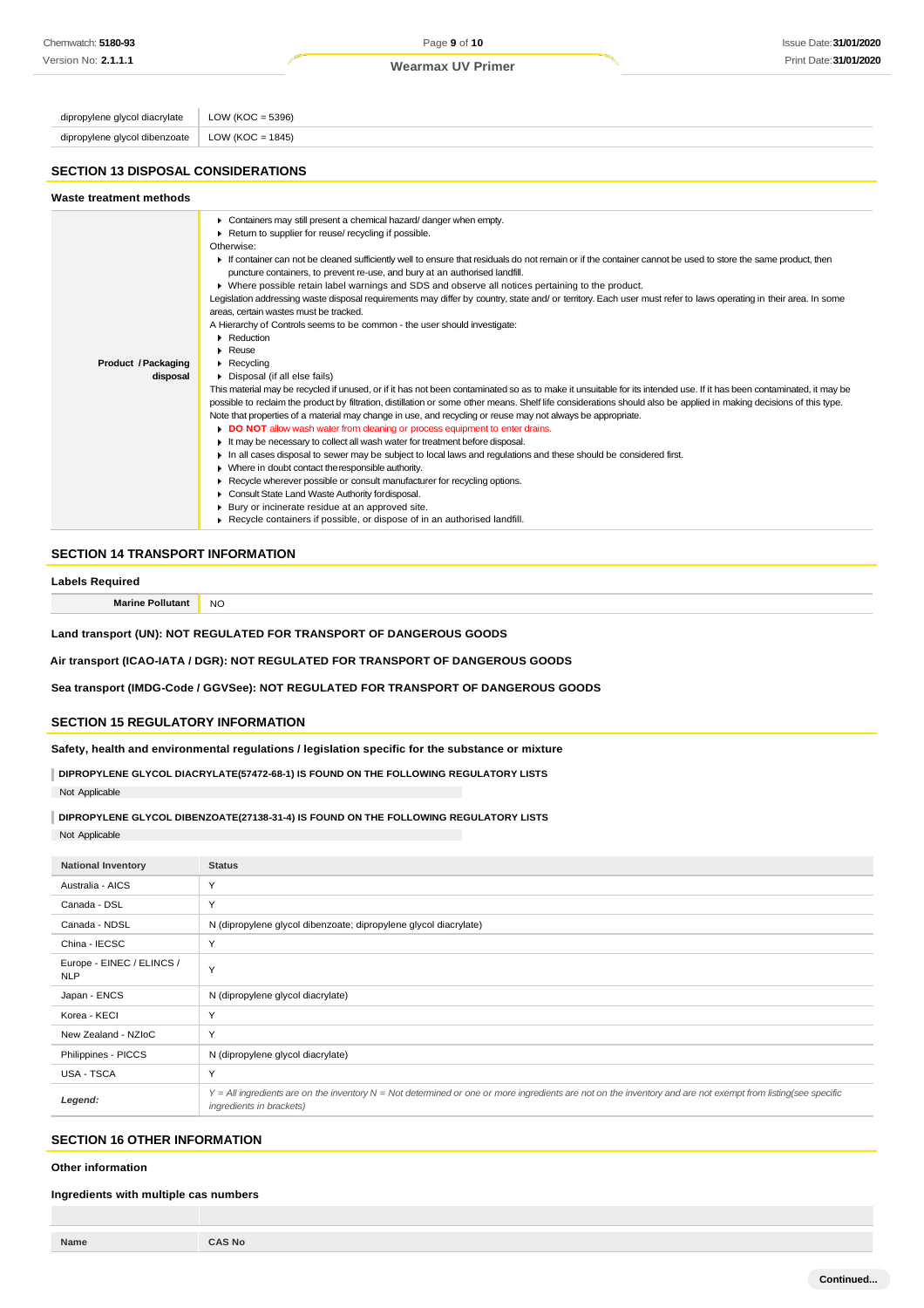Page **9** of **10 Wearmax UV Primer**

| dipropylene glycol diacrylate             | LOW ( $KOC = 5396$ )                                                                                                                                                 |
|-------------------------------------------|----------------------------------------------------------------------------------------------------------------------------------------------------------------------|
| dipropylene glycol dibenzoate             | LOW ( $KOC = 1845$ )                                                                                                                                                 |
|                                           |                                                                                                                                                                      |
| <b>SECTION 13 DISPOSAL CONSIDERATIONS</b> |                                                                                                                                                                      |
| Waste treatment methods                   |                                                                                                                                                                      |
|                                           | Containers may still present a chemical hazard/danger when empty.                                                                                                    |
|                                           | Return to supplier for reuse/ recycling if possible.                                                                                                                 |
|                                           | Otherwise:                                                                                                                                                           |
|                                           | If container can not be cleaned sufficiently well to ensure that residuals do not remain or if the container cannot be used to store the same product, then          |
|                                           | puncture containers, to prevent re-use, and bury at an authorised landfill.                                                                                          |
|                                           | ▶ Where possible retain label warnings and SDS and observe all notices pertaining to the product.                                                                    |
|                                           | Legislation addressing waste disposal requirements may differ by country, state and/ or territory. Each user must refer to laws operating in their area. In some     |
|                                           | areas, certain wastes must be tracked.                                                                                                                               |
|                                           | A Hierarchy of Controls seems to be common - the user should investigate:                                                                                            |
|                                           | Reduction                                                                                                                                                            |
|                                           | $\triangleright$ Reuse                                                                                                                                               |
| Product / Packaging                       | $\triangleright$ Recycling                                                                                                                                           |
| disposal                                  | Disposal (if all else fails)                                                                                                                                         |
|                                           | This material may be recycled if unused, or if it has not been contaminated so as to make it unsuitable for its intended use. If it has been contaminated, it may be |
|                                           | possible to reclaim the product by filtration, distillation or some other means. Shelf life considerations should also be applied in making decisions of this type.  |
|                                           | Note that properties of a material may change in use, and recycling or reuse may not always be appropriate.                                                          |
|                                           | DO NOT allow wash water from cleaning or process equipment to enter drains.                                                                                          |

- It may be necessary to collect all wash water for treatment before disposal.
- In all cases disposal to sewer may be subject to local laws and regulations and these should be considered first.
- Where in doubt contact theresponsible authority.
- **Recycle wherever possible or consult manufacturer for recycling options.** 
	- ► Consult State Land Waste Authority fordisposal.
	- Bury or incinerate residue at an approved site.
	- Recycle containers if possible, or dispose of in an authorised landfill.

## **SECTION 14 TRANSPORT INFORMATION**

#### **Labels Required**

**Marine Pollutant** NO

**Land transport (UN): NOT REGULATED FOR TRANSPORT OF DANGEROUS GOODS**

**Air transport (ICAO-IATA / DGR): NOT REGULATED FOR TRANSPORT OF DANGEROUS GOODS**

**Sea transport (IMDG-Code / GGVSee): NOT REGULATED FOR TRANSPORT OF DANGEROUS GOODS**

## **SECTION 15 REGULATORY INFORMATION**

**Safety, health and environmental regulations / legislation specific for the substance or mixture**

**DIPROPYLENE GLYCOL DIACRYLATE(57472-68-1) IS FOUND ON THE FOLLOWING REGULATORY LISTS** Not Applicable

**DIPROPYLENE GLYCOL DIBENZOATE(27138-31-4) IS FOUND ON THE FOLLOWING REGULATORY LISTS**

Not Applicable

| <b>National Inventory</b>               | <b>Status</b>                                                                                                                                                                            |
|-----------------------------------------|------------------------------------------------------------------------------------------------------------------------------------------------------------------------------------------|
| Australia - AICS                        | Y                                                                                                                                                                                        |
| Canada - DSL                            | Υ                                                                                                                                                                                        |
| Canada - NDSL                           | N (dipropylene glycol dibenzoate; dipropylene glycol diacrylate)                                                                                                                         |
| China - IECSC                           | Y                                                                                                                                                                                        |
| Europe - EINEC / ELINCS /<br><b>NLP</b> | Y                                                                                                                                                                                        |
| Japan - ENCS                            | N (dipropylene glycol diacrylate)                                                                                                                                                        |
| Korea - KECI                            | Y                                                                                                                                                                                        |
| New Zealand - NZIoC                     | Y                                                                                                                                                                                        |
| Philippines - PICCS                     | N (dipropylene glycol diacrylate)                                                                                                                                                        |
| USA - TSCA                              | Y                                                                                                                                                                                        |
| Legend:                                 | Y = All ingredients are on the inventory N = Not determined or one or more ingredients are not on the inventory and are not exempt from listing(see specific<br>ingredients in brackets) |

## **SECTION 16 OTHER INFORMATION**

**Other information**

#### **Ingredients with multiple cas numbers**

**Name CAS No**